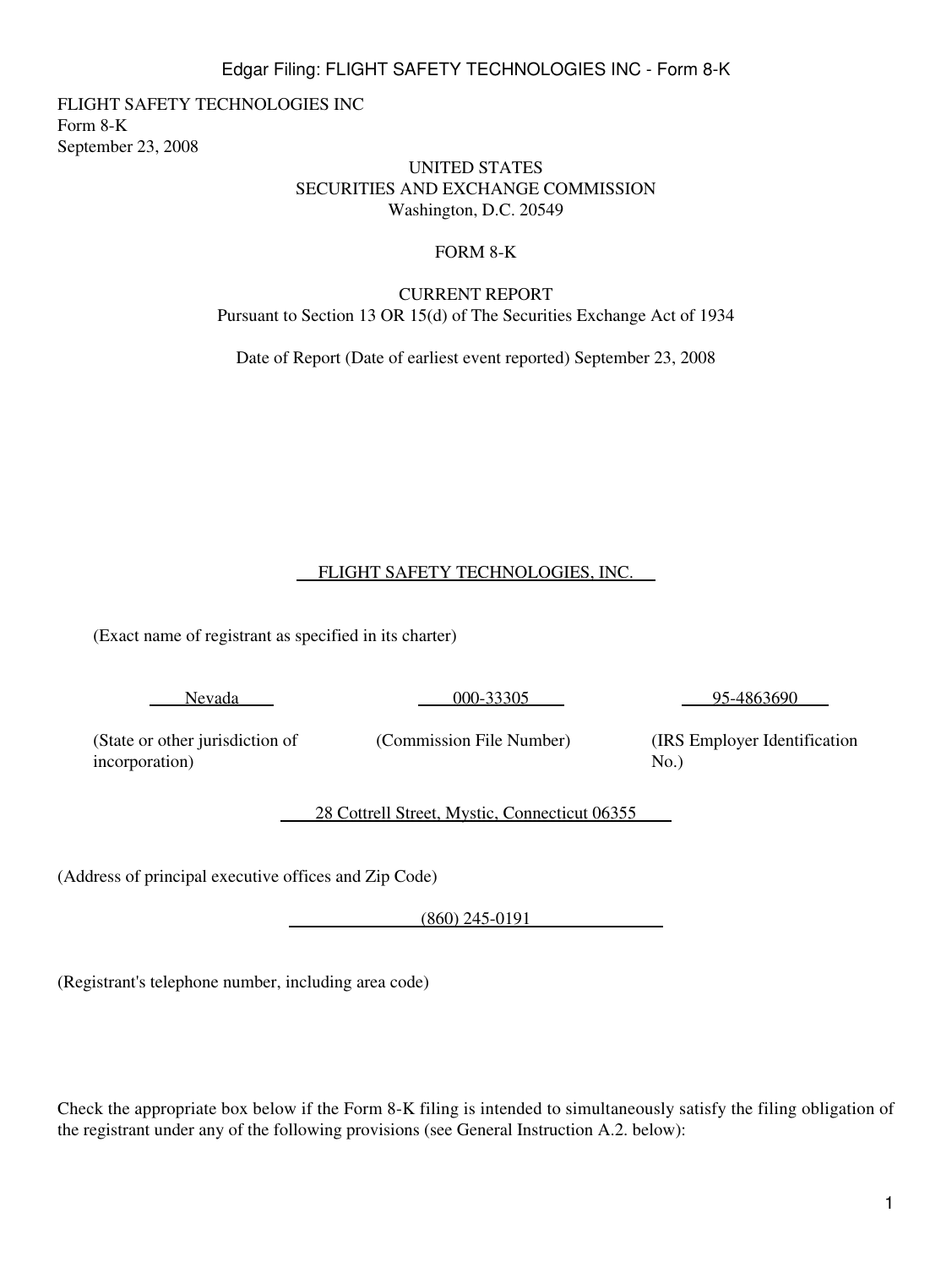1

# Edgar Filing: FLIGHT SAFETY TECHNOLOGIES INC - Form 8-K

FLIGHT SAFETY TECHNOLOGIES INC Form 8-K September 23, 2008

#### UNITED STATES SECURITIES AND EXCHANGE COMMISSION Washington, D.C. 20549

### FORM 8-K

### CURRENT REPORT Pursuant to Section 13 OR 15(d) of The Securities Exchange Act of 1934

Date of Report (Date of earliest event reported) September 23, 2008

## FLIGHT SAFETY TECHNOLOGIES, INC.

(Exact name of registrant as specified in its charter)

Nevada

000-33305

95-4863690

(State or other jurisdiction of incorporation)

(Commission File Number)

(IRS Employer Identification  $No.$ )

28 Cottrell Street, Mystic, Connecticut 06355

(Address of principal executive offices and Zip Code)

(860) 245-0191

(Registrant's telephone number, including area code)

Check the appropriate box below if the Form 8-K filing is intended to simultaneously satisfy the filing obligation of the registrant under any of the following provisions (see General Instruction A.2. below):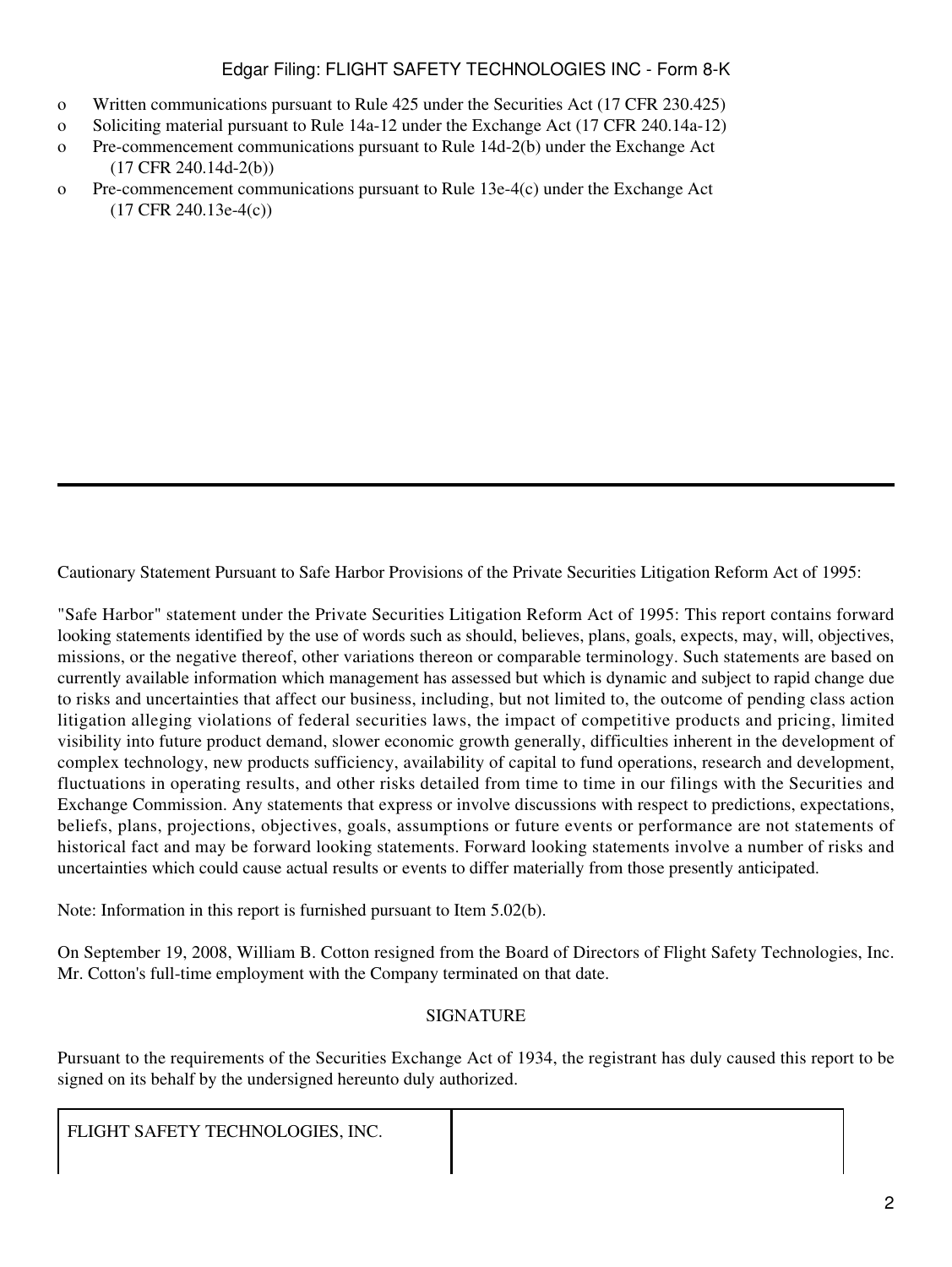### Edgar Filing: FLIGHT SAFETY TECHNOLOGIES INC - Form 8-K

- o Written communications pursuant to Rule 425 under the Securities Act (17 CFR 230.425)
- o Soliciting material pursuant to Rule 14a-12 under the Exchange Act (17 CFR 240.14a-12)
- o Pre-commencement communications pursuant to Rule 14d-2(b) under the Exchange Act (17 CFR 240.14d-2(b))
- o Pre-commencement communications pursuant to Rule 13e-4(c) under the Exchange Act (17 CFR 240.13e-4(c))

Cautionary Statement Pursuant to Safe Harbor Provisions of the Private Securities Litigation Reform Act of 1995:

"Safe Harbor" statement under the Private Securities Litigation Reform Act of 1995: This report contains forward looking statements identified by the use of words such as should, believes, plans, goals, expects, may, will, objectives, missions, or the negative thereof, other variations thereon or comparable terminology. Such statements are based on currently available information which management has assessed but which is dynamic and subject to rapid change due to risks and uncertainties that affect our business, including, but not limited to, the outcome of pending class action litigation alleging violations of federal securities laws, the impact of competitive products and pricing, limited visibility into future product demand, slower economic growth generally, difficulties inherent in the development of complex technology, new products sufficiency, availability of capital to fund operations, research and development, fluctuations in operating results, and other risks detailed from time to time in our filings with the Securities and Exchange Commission. Any statements that express or involve discussions with respect to predictions, expectations, beliefs, plans, projections, objectives, goals, assumptions or future events or performance are not statements of historical fact and may be forward looking statements. Forward looking statements involve a number of risks and uncertainties which could cause actual results or events to differ materially from those presently anticipated.

Note: Information in this report is furnished pursuant to Item 5.02(b).

On September 19, 2008, William B. Cotton resigned from the Board of Directors of Flight Safety Technologies, Inc. Mr. Cotton's full-time employment with the Company terminated on that date.

#### **SIGNATURE**

Pursuant to the requirements of the Securities Exchange Act of 1934, the registrant has duly caused this report to be signed on its behalf by the undersigned hereunto duly authorized.

FLIGHT SAFETY TECHNOLOGIES, INC.